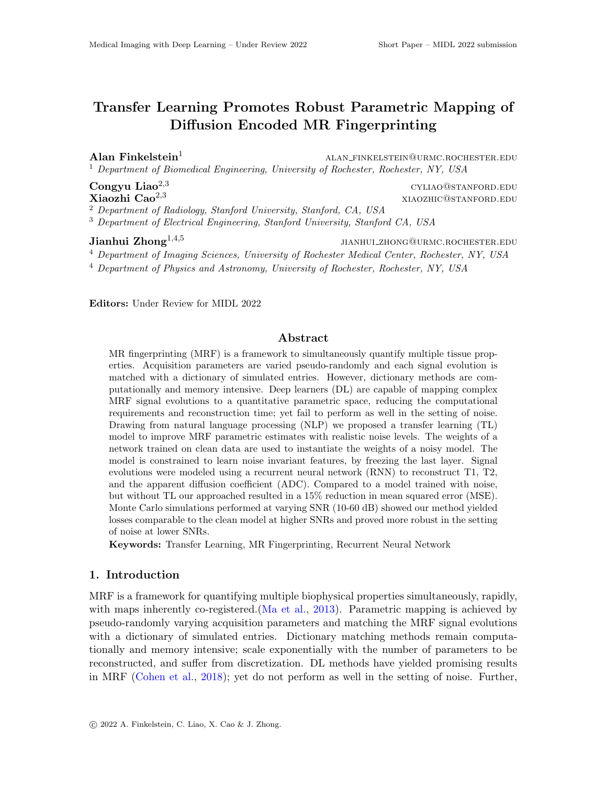# Transfer Learning Promotes Robust Parametric Mapping of Diffusion Encoded MR Fingerprinting

**Alan Finkelstein**<sup>1</sup> alan finkelstein alan finkelstein@urmc.rochester.edu <sup>1</sup> *Department of Biomedical Engineering, University of Rochester, Rochester, NY, USA*

Congyu Liao<sup>2,3</sup> cyliao@stanford.edu<br>
Xiaozhi Cao<sup>2,3</sup> xiaozhi Cao<sup>2,3</sup> xiaozhi Cao<sup>2</sup>,3 Xiaozhi Cao2*,*<sup>3</sup> xiaozhic@stanford.edu

<sup>2</sup> *Department of Radiology, Stanford University, Stanford, CA, USA*

<sup>3</sup> *Department of Electrical Engineering, Stanford University, Stanford CA, USA*

Jianhui Zhong<sup>1,4,5</sup> JIANHUI\_ZHONG@URMC.ROCHESTER.EDU

<sup>4</sup> *Department of Imaging Sciences, University of Rochester Medical Center, Rochester, NY, USA*

<sup>4</sup> *Department of Physics and Astronomy, University of Rochester, Rochester, NY, USA*

Editors: Under Review for MIDL 2022

# Abstract

MR fingerprinting (MRF) is a framework to simultaneously quantify multiple tissue properties. Acquisition parameters are varied pseudo-randomly and each signal evolution is matched with a dictionary of simulated entries. However, dictionary methods are computationally and memory intensive. Deep learners (DL) are capable of mapping complex MRF signal evolutions to a quantitative parametric space, reducing the computational requirements and reconstruction time; yet fail to perform as well in the setting of noise. Drawing from natural language processing (NLP) we proposed a transfer learning (TL) model to improve MRF parametric estimates with realistic noise levels. The weights of a network trained on clean data are used to instantiate the weights of a noisy model. The model is constrained to learn noise invariant features, by freezing the last layer. Signal evolutions were modeled using a recurrent neural network (RNN) to reconstruct T1, T2, and the apparent diffusion coefficient  $(ADC)$ . Compared to a model trained with noise, but without TL our approached resulted in a 15% reduction in mean squared error (MSE). Monte Carlo simulations performed at varying SNR (10-60 dB) showed our method yielded losses comparable to the clean model at higher SNRs and proved more robust in the setting of noise at lower SNRs.

Keywords: Transfer Learning, MR Fingerprinting, Recurrent Neural Network

## 1. Introduction

MRF is a framework for quantifying multiple biophysical properties simultaneously, rapidly, with maps inherently co-registered. [\(Ma et al.,](#page-2-0) [2013\)](#page-2-0). Parametric mapping is achieved by pseudo-randomly varying acquisition parameters and matching the MRF signal evolutions with a dictionary of simulated entries. Dictionary matching methods remain computationally and memory intensive; scale exponentially with the number of parameters to be reconstructed, and suffer from discretization. DL methods have yielded promising results in MRF [\(Cohen et al.,](#page-2-1) [2018\)](#page-2-1); yet do not perform as well in the setting of noise. Further,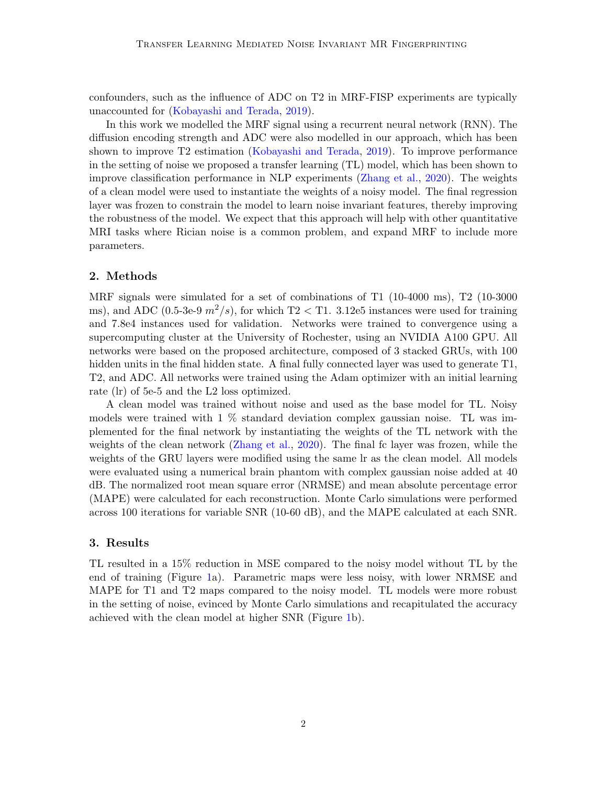confounders, such as the influence of ADC on T2 in MRF-FISP experiments are typically unaccounted for [\(Kobayashi and Terada,](#page-2-2) [2019\)](#page-2-2).

In this work we modelled the MRF signal using a recurrent neural network (RNN). The diffusion encoding strength and ADC were also modelled in our approach, which has been shown to improve T2 estimation [\(Kobayashi and Terada,](#page-2-2) [2019\)](#page-2-2). To improve performance in the setting of noise we proposed a transfer learning (TL) model, which has been shown to improve classification performance in NLP experiments [\(Zhang et al.,](#page-2-3) [2020\)](#page-2-3). The weights of a clean model were used to instantiate the weights of a noisy model. The final regression layer was frozen to constrain the model to learn noise invariant features, thereby improving the robustness of the model. We expect that this approach will help with other quantitative MRI tasks where Rician noise is a common problem, and expand MRF to include more parameters.

### 2. Methods

MRF signals were simulated for a set of combinations of T1 (10-4000 ms), T2 (10-3000 ms), and ADC (0.5-3e-9  $m^2/s$ ), for which T2  $<$  T1. 3.12e5 instances were used for training and 7.8e4 instances used for validation. Networks were trained to convergence using a supercomputing cluster at the University of Rochester, using an NVIDIA A100 GPU. All networks were based on the proposed architecture, composed of 3 stacked GRUs, with 100 hidden units in the final hidden state. A final fully connected layer was used to generate T1, T2, and ADC. All networks were trained using the Adam optimizer with an initial learning rate (lr) of 5e-5 and the L2 loss optimized.

A clean model was trained without noise and used as the base model for TL. Noisy models were trained with 1 % standard deviation complex gaussian noise. TL was implemented for the final network by instantiating the weights of the TL network with the weights of the clean network [\(Zhang et al.,](#page-2-3) [2020\)](#page-2-3). The final fc layer was frozen, while the weights of the GRU layers were modified using the same lr as the clean model. All models were evaluated using a numerical brain phantom with complex gaussian noise added at 40 dB. The normalized root mean square error (NRMSE) and mean absolute percentage error (MAPE) were calculated for each reconstruction. Monte Carlo simulations were performed across 100 iterations for variable SNR (10-60 dB), and the MAPE calculated at each SNR.

### 3. Results

TL resulted in a 15% reduction in MSE compared to the noisy model without TL by the end of training (Figure [1a](#page-2-4)). Parametric maps were less noisy, with lower NRMSE and MAPE for T1 and T2 maps compared to the noisy model. TL models were more robust in the setting of noise, evinced by Monte Carlo simulations and recapitulated the accuracy achieved with the clean model at higher SNR (Figure [1b](#page-2-4)).